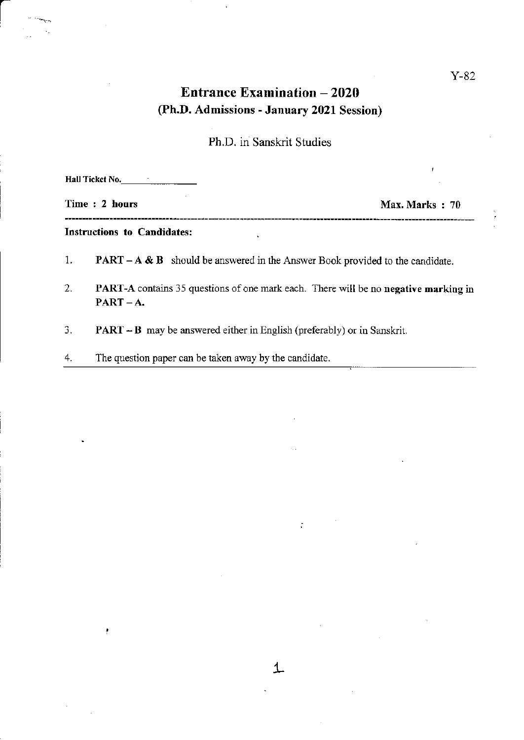# Entrance Examination - 2020 (Ph.D. Admissions - January 2021 Session)

## Ph.D. in Sanskrit Studies

|    | Hall Ticket No.                                                                         |                |
|----|-----------------------------------------------------------------------------------------|----------------|
|    | Time: 2 hours                                                                           | Max. Marks: 70 |
|    | <b>Instructions to Candidates:</b>                                                      |                |
| 1. | <b>PART</b> – $A \& B$ should be answered in the Answer Book provided to the candidate. |                |
| 2. | PART-A contains 35 questions of one mark each. There will be no negative marking in     |                |

L

 $\frac{1}{\sqrt{2}}$ 

- 3. PART B may be answered either in English (preferably) or in Sanskrit.
- 4. The question paper can be taken away by the candidate.

 $PART - A.$ 

ł

 $\frac{1}{2}$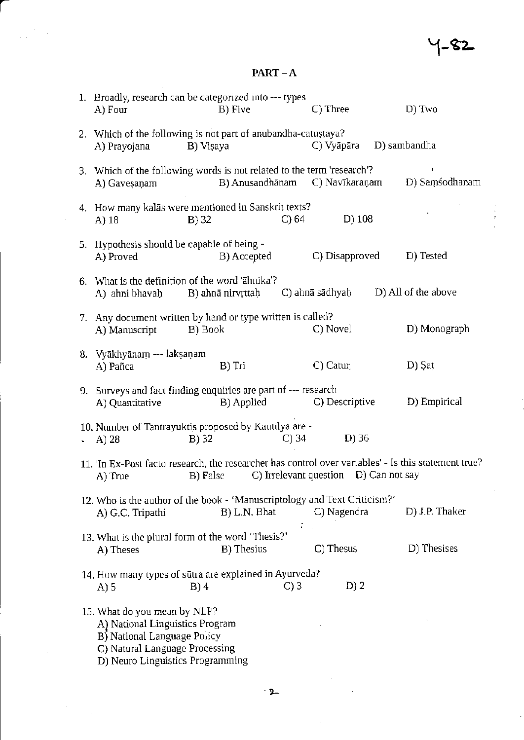$\frac{1}{3}$ 

### $PART-A$

| 1. Broadly, research can be categorized into --- types<br>A) Four                                                                                                    | B) Five            |          | C) Three                       |  | D) Two              |
|----------------------------------------------------------------------------------------------------------------------------------------------------------------------|--------------------|----------|--------------------------------|--|---------------------|
| 2. Which of the following is not part of anubandha-catustaya?<br>A) Prayojana                                                                                        | B) Vişaya          |          | C) Vyāpāra                     |  | D) sambandha        |
| 3. Which of the following words is not related to the term 'research'?<br>A) Gavesanam                                                                               |                    |          | B) Anusandhānam C) Navīkaraņam |  | ŧ<br>D) Samsodhanam |
| 4. How many kalās were mentioned in Sanskrit texts?<br>A) 18                                                                                                         | $B)$ 32            | $C$ ) 64 | $D)$ 108                       |  |                     |
| 5. Hypothesis should be capable of being -<br>A) Proved                                                                                                              | B) Accepted        |          | C) Disapproved                 |  | D) Tested           |
| 6. What is the definition of the word 'āhnika'?<br>A) ahni bhavaḥ B) ahnā nirvṛttaḥ                                                                                  |                    |          | C) ahnā sādhyaḥ                |  | D) All of the above |
| 7. Any document written by hand or type written is called?<br>A) Manuscript                                                                                          | B) Book            |          | C) Novel                       |  | D) Monograph        |
| 8. Vyākhyānam --- lakṣaṇam<br>A) Pañca                                                                                                                               | B) Tri             |          | C) Catur.                      |  | D) Şat              |
| 9. Surveys and fact finding enquiries are part of --- research<br>A) Quantitative                                                                                    | B) Applied         |          | C) Descriptive                 |  | D) Empirical        |
| 10. Number of Tantrayuktis proposed by Kautilya are -<br>A) 28                                                                                                       | B) 32              | C) 34    | $D)$ 36                        |  |                     |
| 11. 'In Ex-Post facto research, the researcher has control over variables' - Is this statement true?<br>C) Irrelevant question D) Can not say<br>B) False<br>A) True |                    |          |                                |  |                     |
| 12. Who is the author of the book - 'Manuscriptology and Text Criticism?'<br>A) G.C. Tripathi                                                                        | B) L.N. Bhat       |          | C) Nagendra                    |  | D) J.P. Thaker      |
| 13. What is the plural form of the word 'Thesis?'<br>A) Theses                                                                                                       | <b>B</b> ) Thesius |          | C) Thesus                      |  | D) Thesises         |
| 14. How many types of sūtra are explained in Ayurveda?<br>A) 5                                                                                                       | $B)$ 4             | $C$ ) 3  | $D$ ) 2                        |  |                     |
| 15. What do you mean by NLP?<br>A) National Linguistics Program<br>B) National Language Policy<br>C) Natural Language Processing<br>D) Neuro Linguistics Programming |                    |          |                                |  |                     |

 $\hat{\mathcal{A}}$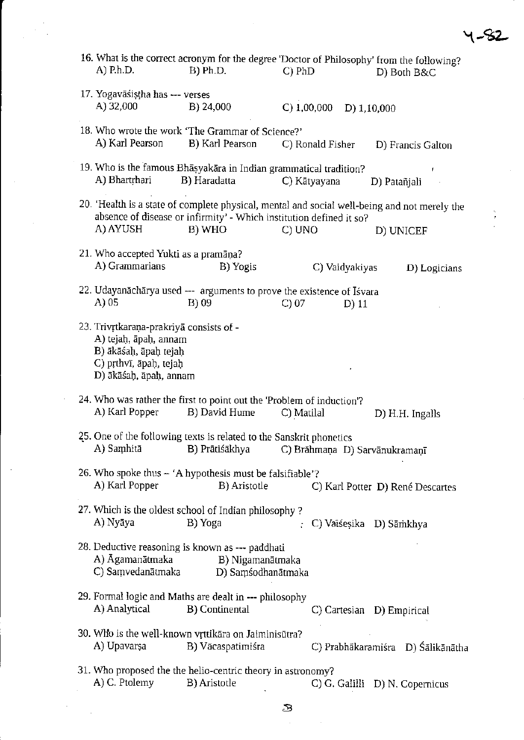| A) P.h.D.                                                                                                                                     | B) Ph.D.                                                                                   | $C)$ PhD                      | 16. What is the correct acronym for the degree 'Doctor of Philosophy' from the following?<br>D) Both B&C       |
|-----------------------------------------------------------------------------------------------------------------------------------------------|--------------------------------------------------------------------------------------------|-------------------------------|----------------------------------------------------------------------------------------------------------------|
| 17. Yogavāśistha has --- verses<br>A) 32,000                                                                                                  | B) 24,000                                                                                  | C) 1,00,000                   | D) $1,10,000$                                                                                                  |
| A) Karl Pearson                                                                                                                               | 18. Who wrote the work 'The Grammar of Science?'<br>B) Karl Pearson                        | C) Ronald Fisher              | D) Francis Galton                                                                                              |
| A) Bhartrhari                                                                                                                                 | 19. Who is the famous Bhasyakara in Indian grammatical tradition?<br>B) Haradatta          | C) Kātyayana                  | D) Patañjali                                                                                                   |
| A) AYUSH                                                                                                                                      | absence of disease or infirmity' - Which institution defined it so?<br>B) WHO              | C) UNO                        | 20. 'Health is a state of complete physical, mental and social well-being and not merely the<br>ž<br>D) UNICEF |
| 21. Who accepted Yukti as a pramāna?<br>A) Grammarians                                                                                        | B) Yogis                                                                                   | C) Vaidyakiyas                | D) Logicians                                                                                                   |
| A) 05                                                                                                                                         | 22. Udayanāchārya used --- arguments to prove the existence of Iśvara<br>B) 09             | $C$ ) 07<br>$D)$ 11           |                                                                                                                |
| 23. Trivrtkaraņa-prakriyā consists of -<br>A) tejaḥ, āpaḥ, annam<br>B) ākāśaḥ, āpaḥ tejaḥ<br>C) prthvī, āpaḥ, tejaḥ<br>D) ākāśaḥ, āpaḥ, annam |                                                                                            |                               |                                                                                                                |
| A) Karl Popper                                                                                                                                | 24. Who was rather the first to point out the 'Problem of induction'?<br>B) David Hume     | C) Matilal                    | D) H.H. Ingalls                                                                                                |
| A) Samhitā                                                                                                                                    | 25. One of the following texts is related to the Sanskrit phonetics<br>B) Prātiśākhya      | C) Brāhmaņa D) Sarvānukramaņī |                                                                                                                |
| A) Karl Popper                                                                                                                                | 26. Who spoke thus – 'A hypothesis must be falsifiable'?<br>B) Aristotle                   |                               | C) Karl Potter D) René Descartes                                                                               |
| A) Nyāya                                                                                                                                      | 27. Which is the oldest school of Indian philosophy?<br>B) Yoga                            |                               | C) Vaiśeșika D) Sāmkhya                                                                                        |
| A) Āgamanātmaka<br>C) Samvedanātmaka                                                                                                          | 28. Deductive reasoning is known as --- paddhati<br>B) Nigamanātmaka<br>D) Samsodhanātmaka |                               |                                                                                                                |
| A) Analytical                                                                                                                                 | 29. Formal logic and Maths are dealt in --- philosophy<br><b>B</b> ) Continental           |                               | C) Cartesian D) Empirical                                                                                      |
| A) Upavarşa                                                                                                                                   | 30. Who is the well-known vrttikāra on Jaiminisūtra?<br>B) Vācaspatimiśra                  |                               | C) Prabhākaramiśra D) Śālikānātha                                                                              |
|                                                                                                                                               |                                                                                            |                               |                                                                                                                |
| A) C. Ptolemy                                                                                                                                 | 31. Who proposed the the helio-centric theory in astronomy?<br><b>B</b> ) Aristotle        |                               | C) G. Galilli D) N. Copernicus                                                                                 |

 $\label{eq:2.1} \frac{1}{\sqrt{2}}\int_{\mathbb{R}^3}\frac{1}{\sqrt{2}}\left(\frac{1}{\sqrt{2}}\right)^2\frac{1}{\sqrt{2}}\left(\frac{1}{\sqrt{2}}\right)^2\frac{1}{\sqrt{2}}\left(\frac{1}{\sqrt{2}}\right)^2\frac{1}{\sqrt{2}}\left(\frac{1}{\sqrt{2}}\right)^2.$ 

 $\label{eq:2.1} \frac{1}{\sqrt{2}}\int_{\mathbb{R}^3}\frac{1}{\sqrt{2}}\left(\frac{1}{\sqrt{2}}\right)^2\left(\frac{1}{\sqrt{2}}\right)^2\left(\frac{1}{\sqrt{2}}\right)^2\left(\frac{1}{\sqrt{2}}\right)^2\left(\frac{1}{\sqrt{2}}\right)^2.$ 

 $\hat{\mathcal{A}}$ 

\-s2-